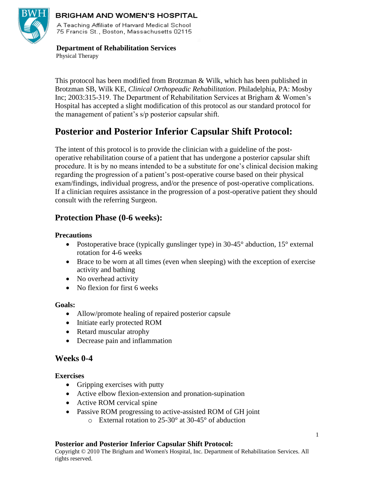

#### **BRIGHAM AND WOMEN'S HOSPITAL**

A Teaching Affiliate of Harvard Medical School 75 Francis St., Boston, Massachusetts 02115

#### **Department of Rehabilitation Services** Physical Therapy

This protocol has been modified from Brotzman & Wilk, which has been published in Brotzman SB, Wilk KE, *Clinical Orthopeadic Rehabilitation*. Philadelphia, PA: Mosby Inc; 2003:315-319. The Department of Rehabilitation Services at Brigham & Women's Hospital has accepted a slight modification of this protocol as our standard protocol for the management of patient's s/p posterior capsular shift.

# **Posterior and Posterior Inferior Capsular Shift Protocol:**

The intent of this protocol is to provide the clinician with a guideline of the postoperative rehabilitation course of a patient that has undergone a posterior capsular shift procedure. It is by no means intended to be a substitute for one's clinical decision making regarding the progression of a patient's post-operative course based on their physical exam/findings, individual progress, and/or the presence of post-operative complications. If a clinician requires assistance in the progression of a post-operative patient they should consult with the referring Surgeon.

# **Protection Phase (0-6 weeks):**

#### **Precautions**

- Postoperative brace (typically gunslinger type) in 30-45° abduction, 15° external rotation for 4-6 weeks
- Brace to be worn at all times (even when sleeping) with the exception of exercise activity and bathing
- No overhead activity
- No flexion for first 6 weeks

#### **Goals:**

- Allow/promote healing of repaired posterior capsule
- Initiate early protected ROM
- Retard muscular atrophy
- Decrease pain and inflammation

### **Weeks 0-4**

#### **Exercises**

- Gripping exercises with putty
- Active elbow flexion-extension and pronation-supination
- Active ROM cervical spine
- Passive ROM progressing to active-assisted ROM of GH joint
	- o External rotation to 25-30° at 30-45° of abduction

#### **Posterior and Posterior Inferior Capsular Shift Protocol:**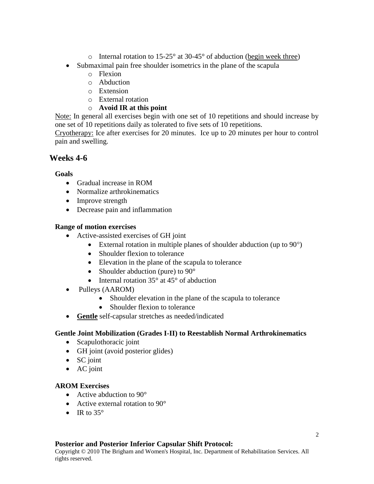- $\circ$  Internal rotation to 15-25 $\circ$  at 30-45 $\circ$  of abduction (begin week three)
- Submaximal pain free shoulder isometrics in the plane of the scapula
	- o Flexion
	- o Abduction
	- o Extension
	- o External rotation
	- o **Avoid IR at this point**

Note: In general all exercises begin with one set of 10 repetitions and should increase by one set of 10 repetitions daily as tolerated to five sets of 10 repetitions.

Cryotherapy: Ice after exercises for 20 minutes. Ice up to 20 minutes per hour to control pain and swelling.

# **Weeks 4-6**

#### **Goals**

- Gradual increase in ROM
- Normalize arthrokinematics
- Improve strength
- Decrease pain and inflammation

#### **Range of motion exercises**

- Active-assisted exercises of GH joint
	- External rotation in multiple planes of shoulder abduction (up to  $90^{\circ}$ )
	- Shoulder flexion to tolerance
	- Elevation in the plane of the scapula to tolerance
	- Shoulder abduction (pure) to 90°
	- Internal rotation  $35^\circ$  at  $45^\circ$  of abduction
- Pulleys (AAROM)
	- Shoulder elevation in the plane of the scapula to tolerance
	- Shoulder flexion to tolerance
- **Gentle** self-capsular stretches as needed/indicated

#### **Gentle Joint Mobilization (Grades I-II) to Reestablish Normal Arthrokinematics**

- Scapulothoracic joint
- GH joint (avoid posterior glides)
- SC joint
- AC joint

#### **AROM Exercises**

- Active abduction to 90°
- Active external rotation to 90°
- IR to  $35^\circ$

#### **Posterior and Posterior Inferior Capsular Shift Protocol:**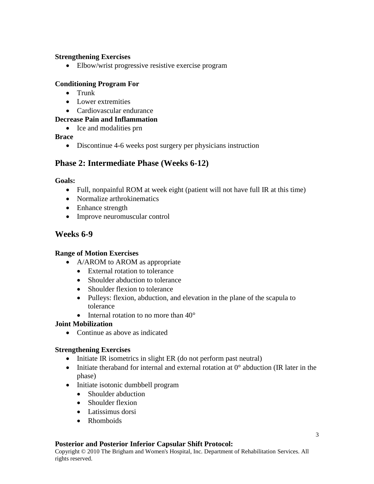#### **Strengthening Exercises**

• Elbow/wrist progressive resistive exercise program

#### **Conditioning Program For**

- $\bullet$  Trunk
- Lower extremities
- Cardiovascular endurance

### **Decrease Pain and Inflammation**

• Ice and modalities prn

### **Brace**

• Discontinue 4-6 weeks post surgery per physicians instruction

# **Phase 2: Intermediate Phase (Weeks 6-12)**

#### **Goals:**

- Full, nonpainful ROM at week eight (patient will not have full IR at this time)
- Normalize arthrokinematics
- Enhance strength
- Improve neuromuscular control

# **Weeks 6-9**

#### **Range of Motion Exercises**

- A/AROM to AROM as appropriate
	- External rotation to tolerance
	- Shoulder abduction to tolerance
	- Shoulder flexion to tolerance
	- Pulleys: flexion, abduction, and elevation in the plane of the scapula to tolerance
	- $\bullet$  Internal rotation to no more than  $40^{\circ}$

#### **Joint Mobilization**

• Continue as above as indicated

#### **Strengthening Exercises**

- Initiate IR isometrics in slight ER (do not perform past neutral)
- Initiate theraband for internal and external rotation at  $0^{\circ}$  abduction (IR later in the phase)
- Initiate isotonic dumbbell program
	- Shoulder abduction
	- Shoulder flexion
	- Latissimus dorsi
	- Rhomboids

#### **Posterior and Posterior Inferior Capsular Shift Protocol:**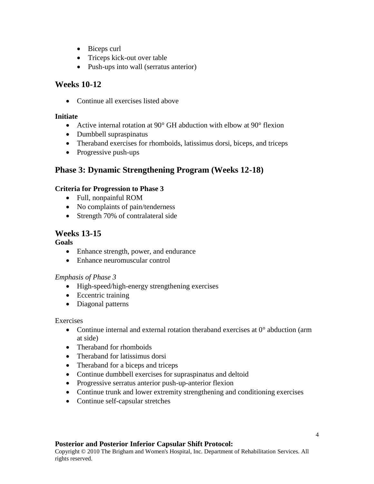- Biceps curl
- Triceps kick-out over table
- Push-ups into wall (serratus anterior)

# **Weeks 10-12**

• Continue all exercises listed above

### **Initiate**

- Active internal rotation at 90° GH abduction with elbow at 90° flexion
- Dumbbell supraspinatus
- Theraband exercises for rhomboids, latissimus dorsi, biceps, and triceps
- Progressive push-ups

# **Phase 3: Dynamic Strengthening Program (Weeks 12-18)**

# **Criteria for Progression to Phase 3**

- Full, nonpainful ROM
- No complaints of pain/tenderness
- Strength 70% of contralateral side

# **Weeks 13-15**

### **Goals**

- Enhance strength, power, and endurance
- Enhance neuromuscular control

# *Emphasis of Phase 3*

- High-speed/high-energy strengthening exercises
- Eccentric training
- Diagonal patterns

### Exercises

- Continue internal and external rotation theraband exercises at  $0^{\circ}$  abduction (arm at side)
- Theraband for rhomboids
- Theraband for latissimus dorsi
- Theraband for a biceps and triceps
- Continue dumbbell exercises for supraspinatus and deltoid
- Progressive serratus anterior push-up-anterior flexion
- Continue trunk and lower extremity strengthening and conditioning exercises
- Continue self-capsular stretches

### **Posterior and Posterior Inferior Capsular Shift Protocol:**